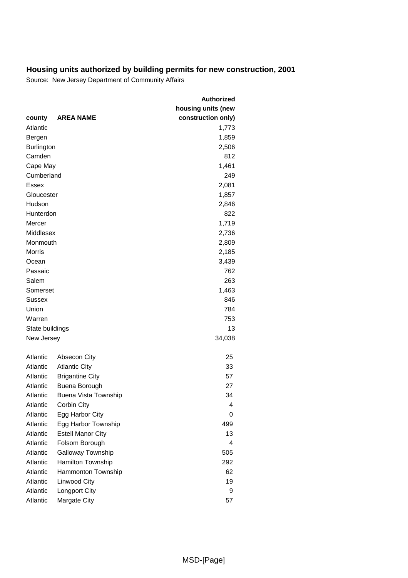|                   |                             | <b>Authorized</b>  |
|-------------------|-----------------------------|--------------------|
|                   |                             | housing units (new |
| county            | <b>AREA NAME</b>            | construction only) |
| Atlantic          |                             | 1,773              |
| Bergen            |                             | 1,859              |
| <b>Burlington</b> |                             | 2,506              |
| Camden            |                             | 812                |
| Cape May          |                             | 1,461              |
| Cumberland        |                             | 249                |
| <b>Essex</b>      |                             | 2,081              |
| Gloucester        |                             | 1,857              |
| Hudson            |                             | 2,846              |
| Hunterdon         |                             | 822                |
| Mercer            |                             | 1,719              |
| Middlesex         |                             | 2,736              |
| Monmouth          |                             | 2,809              |
| <b>Morris</b>     |                             | 2,185              |
| Ocean             |                             | 3,439              |
| Passaic           |                             | 762                |
| Salem             |                             | 263                |
| Somerset          |                             | 1,463              |
| Sussex            |                             | 846                |
| Union             |                             | 784                |
| Warren            |                             | 753                |
| State buildings   |                             | 13                 |
| New Jersey        |                             | 34,038             |
|                   |                             |                    |
| Atlantic          | Absecon City                | 25                 |
| Atlantic          | <b>Atlantic City</b>        | 33                 |
| Atlantic          | <b>Brigantine City</b>      | 57                 |
| Atlantic          | Buena Borough               | 27                 |
| Atlantic          | <b>Buena Vista Township</b> | 34                 |
| Atlantic          | Corbin City                 | 4                  |
| Atlantic          | Egg Harbor City             | 0                  |
| Atlantic          | Egg Harbor Township         | 499                |
| Atlantic          | <b>Estell Manor City</b>    | 13                 |
| Atlantic          | Folsom Borough              | 4                  |
| Atlantic          | Galloway Township           | 505                |
| Atlantic          | Hamilton Township           | 292                |
| Atlantic          | Hammonton Township          | 62                 |
| Atlantic          | Linwood City                | 19                 |
| Atlantic          | Longport City               | 9                  |
| Atlantic          | Margate City                | 57                 |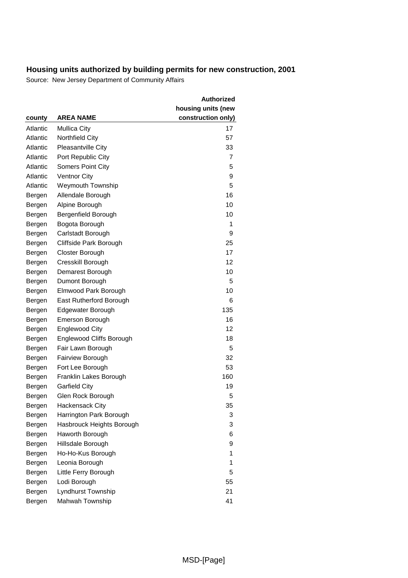|          |                           | <b>Authorized</b><br>housing units (new |
|----------|---------------------------|-----------------------------------------|
| county   | <b>AREA NAME</b>          | construction only)                      |
| Atlantic | <b>Mullica City</b>       | 17                                      |
| Atlantic | Northfield City           | 57                                      |
| Atlantic | <b>Pleasantville City</b> | 33                                      |
| Atlantic | Port Republic City        | 7                                       |
| Atlantic | <b>Somers Point City</b>  | 5                                       |
| Atlantic | <b>Ventnor City</b>       | 9                                       |
| Atlantic | <b>Weymouth Township</b>  | 5                                       |
|          |                           | 16                                      |
| Bergen   | Allendale Borough         | 10                                      |
| Bergen   | Alpine Borough            |                                         |
| Bergen   | Bergenfield Borough       | 10<br>1                                 |
| Bergen   | Bogota Borough            |                                         |
| Bergen   | Carlstadt Borough         | 9                                       |
| Bergen   | Cliffside Park Borough    | 25                                      |
| Bergen   | Closter Borough           | 17                                      |
| Bergen   | Cresskill Borough         | 12                                      |
| Bergen   | Demarest Borough          | 10                                      |
| Bergen   | Dumont Borough            | 5                                       |
| Bergen   | Elmwood Park Borough      | 10                                      |
| Bergen   | East Rutherford Borough   | 6                                       |
| Bergen   | Edgewater Borough         | 135                                     |
| Bergen   | <b>Emerson Borough</b>    | 16                                      |
| Bergen   | <b>Englewood City</b>     | 12                                      |
| Bergen   | Englewood Cliffs Borough  | 18                                      |
| Bergen   | Fair Lawn Borough         | 5                                       |
| Bergen   | Fairview Borough          | 32                                      |
| Bergen   | Fort Lee Borough          | 53                                      |
| Bergen   | Franklin Lakes Borough    | 160                                     |
| Bergen   | <b>Garfield City</b>      | 19                                      |
| Bergen   | Glen Rock Borough         | 5                                       |
| Bergen   | Hackensack City           | 35                                      |
| Bergen   | Harrington Park Borough   | 3                                       |
| Bergen   | Hasbrouck Heights Borough | 3                                       |
| Bergen   | Haworth Borough           | 6                                       |
| Bergen   | Hillsdale Borough         | 9                                       |
| Bergen   | Ho-Ho-Kus Borough         | 1                                       |
| Bergen   | Leonia Borough            | 1                                       |
| Bergen   | Little Ferry Borough      | 5                                       |
| Bergen   | Lodi Borough              | 55                                      |
| Bergen   | Lyndhurst Township        | 21                                      |
| Bergen   | Mahwah Township           | 41                                      |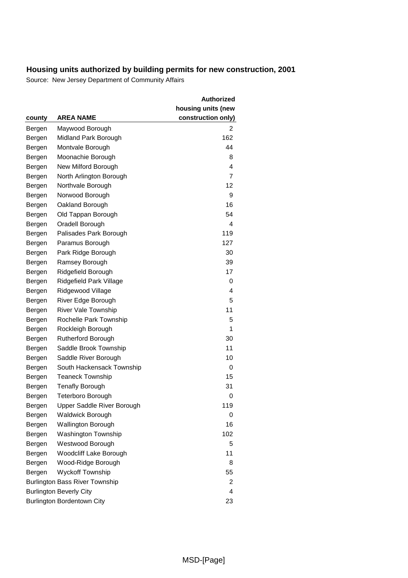|        |                                       | <b>Authorized</b>  |
|--------|---------------------------------------|--------------------|
|        |                                       | housing units (new |
| county | <b>AREA NAME</b>                      | construction only) |
| Bergen | Maywood Borough                       | 2                  |
| Bergen | Midland Park Borough                  | 162                |
| Bergen | Montvale Borough                      | 44                 |
| Bergen | Moonachie Borough                     | 8                  |
| Bergen | New Milford Borough                   | 4                  |
| Bergen | North Arlington Borough               | $\overline{7}$     |
| Bergen | Northvale Borough                     | 12                 |
| Bergen | Norwood Borough                       | 9                  |
| Bergen | Oakland Borough                       | 16                 |
| Bergen | Old Tappan Borough                    | 54                 |
| Bergen | Oradell Borough                       | 4                  |
| Bergen | Palisades Park Borough                | 119                |
| Bergen | Paramus Borough                       | 127                |
| Bergen | Park Ridge Borough                    | 30                 |
| Bergen | Ramsey Borough                        | 39                 |
| Bergen | Ridgefield Borough                    | 17                 |
| Bergen | Ridgefield Park Village               | 0                  |
| Bergen | Ridgewood Village                     | 4                  |
| Bergen | River Edge Borough                    | 5                  |
| Bergen | <b>River Vale Township</b>            | 11                 |
| Bergen | Rochelle Park Township                | 5                  |
| Bergen | Rockleigh Borough                     | 1                  |
| Bergen | <b>Rutherford Borough</b>             | 30                 |
| Bergen | Saddle Brook Township                 | 11                 |
| Bergen | Saddle River Borough                  | 10                 |
| Bergen | South Hackensack Township             | 0                  |
| Bergen | <b>Teaneck Township</b>               | 15                 |
| Bergen | <b>Tenafly Borough</b>                | 31                 |
| Bergen | <b>Teterboro Borough</b>              | 0                  |
| Bergen | Upper Saddle River Borough            | 119                |
| Bergen | <b>Waldwick Borough</b>               | 0                  |
| Bergen | <b>Wallington Borough</b>             | 16                 |
| Bergen | <b>Washington Township</b>            | 102                |
| Bergen | Westwood Borough                      | 5                  |
| Bergen | Woodcliff Lake Borough                | 11                 |
| Bergen | Wood-Ridge Borough                    | 8                  |
| Bergen | <b>Wyckoff Township</b>               | 55                 |
|        | <b>Burlington Bass River Township</b> | 2                  |
|        | <b>Burlington Beverly City</b>        | 4                  |
|        | Burlington Bordentown City            | 23                 |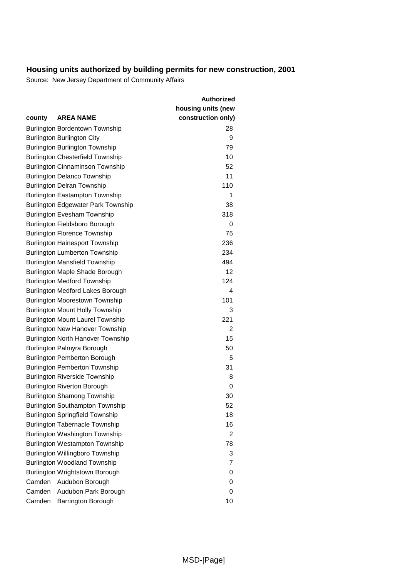|        |                                                                     | <b>Authorized</b>                        |
|--------|---------------------------------------------------------------------|------------------------------------------|
|        | <b>AREA NAME</b>                                                    | housing units (new<br>construction only) |
| county |                                                                     | 28                                       |
|        | Burlington Bordentown Township<br><b>Burlington Burlington City</b> | 9                                        |
|        | <b>Burlington Burlington Township</b>                               | 79                                       |
|        | <b>Burlington Chesterfield Township</b>                             | 10                                       |
|        | <b>Burlington Cinnaminson Township</b>                              | 52                                       |
|        | <b>Burlington Delanco Township</b>                                  | 11                                       |
|        | <b>Burlington Delran Township</b>                                   | 110                                      |
|        | <b>Burlington Eastampton Township</b>                               | 1                                        |
|        | <b>Burlington Edgewater Park Township</b>                           | 38                                       |
|        | <b>Burlington Evesham Township</b>                                  | 318                                      |
|        | Burlington Fieldsboro Borough                                       | 0                                        |
|        | <b>Burlington Florence Township</b>                                 | 75                                       |
|        | <b>Burlington Hainesport Township</b>                               | 236                                      |
|        | <b>Burlington Lumberton Township</b>                                | 234                                      |
|        | <b>Burlington Mansfield Township</b>                                | 494                                      |
|        | Burlington Maple Shade Borough                                      | 12                                       |
|        | <b>Burlington Medford Township</b>                                  | 124                                      |
|        | <b>Burlington Medford Lakes Borough</b>                             | 4                                        |
|        | <b>Burlington Moorestown Township</b>                               | 101                                      |
|        | <b>Burlington Mount Holly Township</b>                              | 3                                        |
|        | <b>Burlington Mount Laurel Township</b>                             | 221                                      |
|        | <b>Burlington New Hanover Township</b>                              | 2                                        |
|        | <b>Burlington North Hanover Township</b>                            | 15                                       |
|        | Burlington Palmyra Borough                                          | 50                                       |
|        | <b>Burlington Pemberton Borough</b>                                 | 5                                        |
|        | <b>Burlington Pemberton Township</b>                                | 31                                       |
|        | <b>Burlington Riverside Township</b>                                | 8                                        |
|        | <b>Burlington Riverton Borough</b>                                  | 0                                        |
|        | <b>Burlington Shamong Township</b>                                  | 30                                       |
|        | <b>Burlington Southampton Township</b>                              | 52                                       |
|        | <b>Burlington Springfield Township</b>                              | 18                                       |
|        | <b>Burlington Tabernacle Township</b>                               | 16                                       |
|        | Burlington Washington Township                                      | 2                                        |
|        | <b>Burlington Westampton Township</b>                               | 78                                       |
|        | Burlington Willingboro Township                                     | 3                                        |
|        | <b>Burlington Woodland Township</b>                                 | 7                                        |
|        | Burlington Wrightstown Borough                                      | 0                                        |
| Camden | Audubon Borough                                                     | 0                                        |
| Camden | Audubon Park Borough                                                | 0                                        |
| Camden | <b>Barrington Borough</b>                                           | 10                                       |
|        |                                                                     |                                          |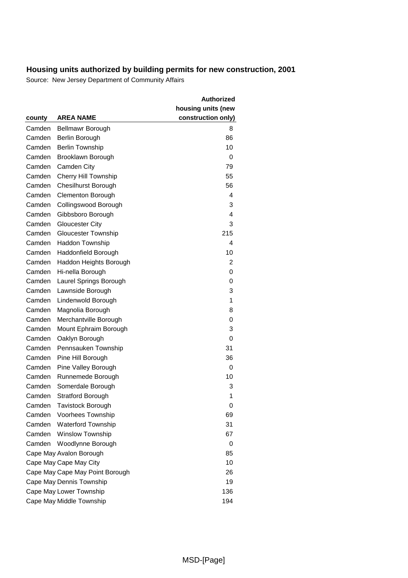|        |                                 | Authorized         |
|--------|---------------------------------|--------------------|
|        |                                 | housing units (new |
| county | <b>AREA NAME</b>                | construction only) |
| Camden | Bellmawr Borough                | 8                  |
| Camden | Berlin Borough                  | 86                 |
| Camden | <b>Berlin Township</b>          | 10                 |
| Camden | Brooklawn Borough               | 0                  |
| Camden | Camden City                     | 79                 |
| Camden | <b>Cherry Hill Township</b>     | 55                 |
| Camden | Chesilhurst Borough             | 56                 |
| Camden | <b>Clementon Borough</b>        | 4                  |
| Camden | Collingswood Borough            | 3                  |
| Camden | Gibbsboro Borough               | 4                  |
| Camden | <b>Gloucester City</b>          | 3                  |
| Camden | Gloucester Township             | 215                |
| Camden | Haddon Township                 | 4                  |
| Camden | Haddonfield Borough             | 10                 |
| Camden | Haddon Heights Borough          | 2                  |
| Camden | Hi-nella Borough                | 0                  |
| Camden | Laurel Springs Borough          | 0                  |
| Camden | Lawnside Borough                | 3                  |
| Camden | Lindenwold Borough              | 1                  |
| Camden | Magnolia Borough                | 8                  |
| Camden | Merchantville Borough           | 0                  |
| Camden | Mount Ephraim Borough           | 3                  |
| Camden | Oaklyn Borough                  | 0                  |
| Camden | Pennsauken Township             | 31                 |
| Camden | Pine Hill Borough               | 36                 |
| Camden | Pine Valley Borough             | 0                  |
| Camden | Runnemede Borough               | 10                 |
| Camden | Somerdale Borough               | 3                  |
| Camden | <b>Stratford Borough</b>        | 1                  |
| Camden | <b>Tavistock Borough</b>        | 0                  |
| Camden | Voorhees Township               | 69                 |
| Camden | <b>Waterford Township</b>       | 31                 |
| Camden | <b>Winslow Township</b>         | 67                 |
| Camden | Woodlynne Borough               | 0                  |
|        | Cape May Avalon Borough         | 85                 |
|        | Cape May Cape May City          | 10                 |
|        | Cape May Cape May Point Borough | 26                 |
|        | Cape May Dennis Township        | 19                 |
|        | Cape May Lower Township         | 136                |
|        | Cape May Middle Township        | 194                |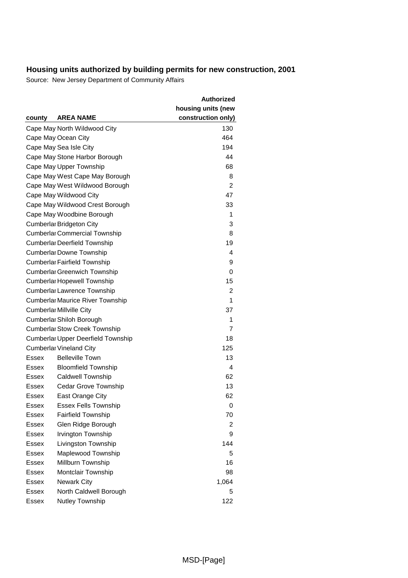|              |                                           | Authorized         |
|--------------|-------------------------------------------|--------------------|
|              |                                           | housing units (new |
| county       | <b>AREA NAME</b>                          | construction only) |
|              | Cape May North Wildwood City              | 130                |
|              | Cape May Ocean City                       | 464                |
|              | Cape May Sea Isle City                    | 194                |
|              | Cape May Stone Harbor Borough             | 44                 |
|              | Cape May Upper Township                   | 68                 |
|              | Cape May West Cape May Borough            | 8                  |
|              | Cape May West Wildwood Borough            | 2                  |
|              | Cape May Wildwood City                    | 47                 |
|              | Cape May Wildwood Crest Borough           | 33                 |
|              | Cape May Woodbine Borough                 | 1                  |
|              | <b>Cumberlar Bridgeton City</b>           | 3                  |
|              | <b>Cumberlar Commercial Township</b>      | 8                  |
|              | <b>Cumberlar Deerfield Township</b>       | 19                 |
|              | <b>Cumberlar Downe Township</b>           | 4                  |
|              | <b>Cumberlar Fairfield Township</b>       | 9                  |
|              | <b>Cumberlar Greenwich Township</b>       | 0                  |
|              | <b>Cumberlar Hopewell Township</b>        | 15                 |
|              | Cumberlar Lawrence Township               | 2                  |
|              | <b>Cumberlar Maurice River Township</b>   | 1                  |
|              | <b>Cumberlar Millville City</b>           | 37                 |
|              | Cumberlar Shiloh Borough                  | 1                  |
|              | <b>Cumberlar Stow Creek Township</b>      | 7                  |
|              | <b>Cumberlar Upper Deerfield Township</b> | 18                 |
|              | <b>Cumberlar Vineland City</b>            | 125                |
| Essex        | <b>Belleville Town</b>                    | 13                 |
| Essex        | <b>Bloomfield Township</b>                | 4                  |
| Essex        | Caldwell Township                         | 62                 |
| Essex        | <b>Cedar Grove Township</b>               | 13                 |
| Essex        | East Orange City                          | 62                 |
| Essex        | <b>Essex Fells Township</b>               | 0                  |
| Essex        | <b>Fairfield Township</b>                 | 70                 |
| Essex        | Glen Ridge Borough                        | 2                  |
| <b>Essex</b> | Irvington Township                        | 9                  |
| <b>Essex</b> | Livingston Township                       | 144                |
| Essex        | Maplewood Township                        | 5                  |
| Essex        | Millburn Township                         | 16                 |
| Essex        | Montclair Township                        | 98                 |
| Essex        | <b>Newark City</b>                        | 1,064              |
| <b>Essex</b> | North Caldwell Borough                    | 5                  |
| Essex        | Nutley Township                           | 122                |
|              |                                           |                    |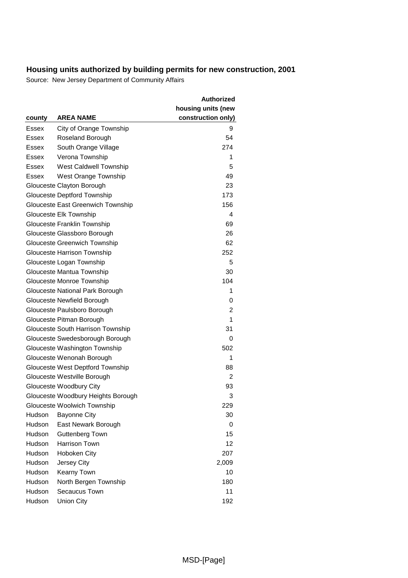|               |                                          | <b>Authorized</b>  |
|---------------|------------------------------------------|--------------------|
|               |                                          | housing units (new |
| county        | <b>AREA NAME</b>                         | construction only) |
| Essex         | City of Orange Township                  | 9                  |
| Essex         | Roseland Borough                         | 54                 |
| Essex         | South Orange Village                     | 274                |
| Essex         | Verona Township                          | 1                  |
| Essex         | West Caldwell Township                   | 5                  |
| <b>Essex</b>  | West Orange Township                     | 49                 |
|               | Glouceste Clayton Borough                | 23                 |
|               | Glouceste Deptford Township              | 173                |
|               | <b>Glouceste East Greenwich Township</b> | 156                |
|               | Glouceste Elk Township                   | 4                  |
|               | Glouceste Franklin Township              | 69                 |
|               | Glouceste Glassboro Borough              | 26                 |
|               | Glouceste Greenwich Township             | 62                 |
|               | Glouceste Harrison Township              | 252                |
|               | Glouceste Logan Township                 | 5                  |
|               | Glouceste Mantua Township                | 30                 |
|               | Glouceste Monroe Township                | 104                |
|               | Glouceste National Park Borough          | 1                  |
|               | Glouceste Newfield Borough               | 0                  |
|               | Glouceste Paulsboro Borough              | 2                  |
|               | Glouceste Pitman Borough                 | 1                  |
|               | Glouceste South Harrison Township        | 31                 |
|               | Glouceste Swedesborough Borough          | 0                  |
|               | Glouceste Washington Township            | 502                |
|               | Glouceste Wenonah Borough                | 1                  |
|               | Glouceste West Deptford Township         | 88                 |
|               | Glouceste Westville Borough              | $\overline{2}$     |
|               | Glouceste Woodbury City                  | 93                 |
|               | Glouceste Woodbury Heights Borough       | 3                  |
|               | Glouceste Woolwich Township              | 229                |
| Hudson        | <b>Bayonne City</b>                      | 30                 |
| Hudson        | East Newark Borough                      | 0                  |
| Hudson        | Guttenberg Town                          | 15                 |
| Hudson        | Harrison Town                            | 12                 |
| Hudson        | Hoboken City                             | 207                |
| Hudson        | Jersey City                              | 2,009              |
| Hudson        | Kearny Town                              | 10                 |
| Hudson        | North Bergen Township                    | 180                |
| <b>Hudson</b> | Secaucus Town                            | 11                 |
| Hudson        | <b>Union City</b>                        | 192                |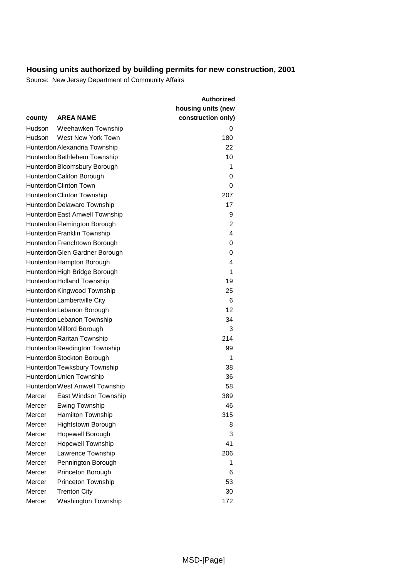|               |                                | <b>Authorized</b>                        |
|---------------|--------------------------------|------------------------------------------|
| county        | <b>AREA NAME</b>               | housing units (new<br>construction only) |
| <b>Hudson</b> | Weehawken Township             | 0                                        |
| Hudson        | West New York Town             | 180                                      |
|               | Hunterdon Alexandria Township  | 22                                       |
|               | Hunterdon Bethlehem Township   | 10                                       |
|               | Hunterdon Bloomsbury Borough   | 1                                        |
|               | Hunterdon Califon Borough      | 0                                        |
|               | Hunterdon Clinton Town         | 0                                        |
|               | Hunterdon Clinton Township     | 207                                      |
|               | Hunterdon Delaware Township    | 17                                       |
|               | Hunterdon East Amwell Township | 9                                        |
|               | Hunterdon Flemington Borough   | 2                                        |
|               | Hunterdon Franklin Township    | 4                                        |
|               | Hunterdon Frenchtown Borough   | 0                                        |
|               | Hunterdon Glen Gardner Borough | 0                                        |
|               | Hunterdon Hampton Borough      | 4                                        |
|               | Hunterdon High Bridge Borough  | 1                                        |
|               | Hunterdon Holland Township     | 19                                       |
|               | Hunterdon Kingwood Township    | 25                                       |
|               | Hunterdon Lambertville City    | 6                                        |
|               | Hunterdon Lebanon Borough      | 12                                       |
|               | Hunterdon Lebanon Township     | 34                                       |
|               | Hunterdon Milford Borough      | 3                                        |
|               | Hunterdon Raritan Township     | 214                                      |
|               | Hunterdon Readington Township  | 99                                       |
|               | Hunterdon Stockton Borough     | 1                                        |
|               | Hunterdon Tewksbury Township   | 38                                       |
|               | Hunterdon Union Township       | 36                                       |
|               | Hunterdon West Amwell Township | 58                                       |
| Mercer        | East Windsor Township          | 389                                      |
| Mercer        | Ewing Township                 | 46                                       |
| Mercer        | Hamilton Township              | 315                                      |
| Mercer        | <b>Hightstown Borough</b>      | 8                                        |
| Mercer        | Hopewell Borough               | 3                                        |
| Mercer        | <b>Hopewell Township</b>       | 41                                       |
| Mercer        | Lawrence Township              | 206                                      |
| Mercer        | Pennington Borough             | 1                                        |
| Mercer        | Princeton Borough              | 6                                        |
| Mercer        | Princeton Township             | 53                                       |
| Mercer        | <b>Trenton City</b>            | 30                                       |
| Mercer        | <b>Washington Township</b>     | 172                                      |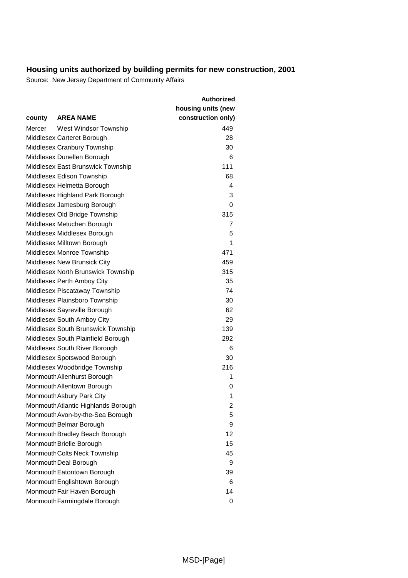|        |                                     | <b>Authorized</b>  |
|--------|-------------------------------------|--------------------|
|        |                                     | housing units (new |
| county | <b>AREA NAME</b>                    | construction only) |
| Mercer | West Windsor Township               | 449                |
|        | Middlesex Carteret Borough          | 28                 |
|        | Middlesex Cranbury Township         | 30                 |
|        | Middlesex Dunellen Borough          | 6                  |
|        | Middlesex East Brunswick Township   | 111                |
|        | Middlesex Edison Township           | 68                 |
|        | Middlesex Helmetta Borough          | 4                  |
|        | Middlesex Highland Park Borough     | 3                  |
|        | Middlesex Jamesburg Borough         | 0                  |
|        | Middlesex Old Bridge Township       | 315                |
|        | Middlesex Metuchen Borough          | 7                  |
|        | Middlesex Middlesex Borough         | 5                  |
|        | Middlesex Milltown Borough          | 1                  |
|        | Middlesex Monroe Township           | 471                |
|        | Middlesex New Brunsick City         | 459                |
|        | Middlesex North Brunswick Township  | 315                |
|        | Middlesex Perth Amboy City          | 35                 |
|        | Middlesex Piscataway Township       | 74                 |
|        | Middlesex Plainsboro Township       | 30                 |
|        | Middlesex Sayreville Borough        | 62                 |
|        | Middlesex South Amboy City          | 29                 |
|        | Middlesex South Brunswick Township  | 139                |
|        | Middlesex South Plainfield Borough  | 292                |
|        | Middlesex South River Borough       | 6                  |
|        | Middlesex Spotswood Borough         | 30                 |
|        | Middlesex Woodbridge Township       | 216                |
|        | Monmouth Allenhurst Borough         | 1                  |
|        | Monmouth Allentown Borough          | 0                  |
|        | Monmouth Asbury Park City           | 1                  |
|        | Monmouth Atlantic Highlands Borough | 2                  |
|        | Monmouth Avon-by-the-Sea Borough    | 5                  |
|        | Monmouth Belmar Borough             | 9                  |
|        | Monmouth Bradley Beach Borough      | 12                 |
|        | Monmouth Brielle Borough            | 15                 |
|        | Monmouth Colts Neck Township        | 45                 |
|        | Monmouth Deal Borough               | 9                  |
|        | Monmouth Eatontown Borough          | 39                 |
|        | Monmouth Englishtown Borough        | 6                  |
|        | Monmouth Fair Haven Borough         | 14                 |
|        | Monmouth Farmingdale Borough        | 0                  |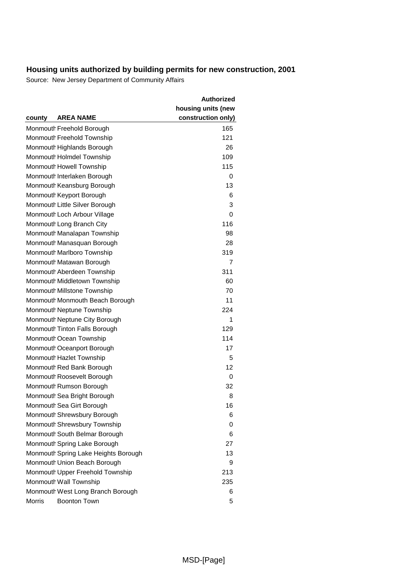|                                      | <b>Authorized</b>  |
|--------------------------------------|--------------------|
|                                      | housing units (new |
| <b>AREA NAME</b><br>county           | construction only) |
| Monmouth Freehold Borough            | 165                |
| Monmouth Freehold Township           | 121                |
| Monmouth Highlands Borough           | 26                 |
| Monmouth Holmdel Township            | 109                |
| Monmouth Howell Township             | 115                |
| Monmouth Interlaken Borough          | 0                  |
| Monmouth Keansburg Borough           | 13                 |
| Monmouth Keyport Borough             | 6                  |
| Monmouth Little Silver Borough       | 3                  |
| Monmouth Loch Arbour Village         | 0                  |
| Monmouth Long Branch City            | 116                |
| Monmouth Manalapan Township          | 98                 |
| Monmouth Manasquan Borough           | 28                 |
| Monmouth Marlboro Township           | 319                |
| Monmouth Matawan Borough             | 7                  |
| Monmouth Aberdeen Township           | 311                |
| Monmouth Middletown Township         | 60                 |
| Monmouth Millstone Township          | 70                 |
| Monmouth Monmouth Beach Borough      | 11                 |
| Monmouth Neptune Township            | 224                |
| Monmouth Neptune City Borough        | 1                  |
| Monmouth Tinton Falls Borough        | 129                |
| Monmouth Ocean Township              | 114                |
| Monmouth Oceanport Borough           | 17                 |
| Monmouth Hazlet Township             | 5                  |
| Monmouth Red Bank Borough            | 12                 |
| Monmouth Roosevelt Borough           | 0                  |
| Monmouth Rumson Borough              | 32                 |
| Monmouth Sea Bright Borough          | 8                  |
| Monmouth Sea Girt Borough            | 16                 |
| Monmouth Shrewsbury Borough          | 6                  |
| Monmouth Shrewsbury Township         | 0                  |
| Monmouth South Belmar Borough        | 6                  |
| Monmouth Spring Lake Borough         | 27                 |
| Monmouth Spring Lake Heights Borough | 13                 |
| Monmouth Union Beach Borough         | 9                  |
| Monmouth Upper Freehold Township     | 213                |
| Monmouth Wall Township               | 235                |
| Monmouth West Long Branch Borough    | 6                  |
| Morris<br><b>Boonton Town</b>        | 5                  |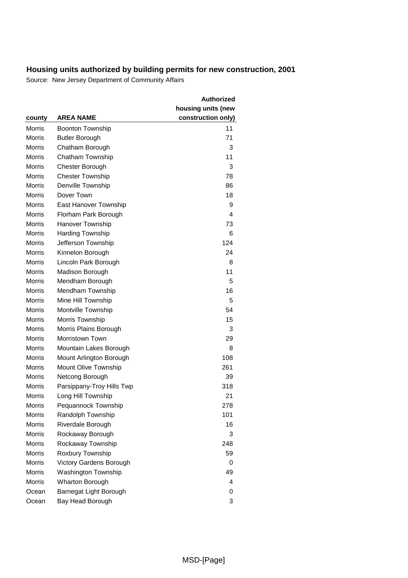|               |                                | Authorized         |
|---------------|--------------------------------|--------------------|
|               |                                | housing units (new |
| county        | AREA NAME                      | construction only) |
| Morris        | <b>Boonton Township</b>        | 11                 |
| Morris        | <b>Butler Borough</b>          | 71                 |
| <b>Morris</b> | Chatham Borough                | 3                  |
| <b>Morris</b> | Chatham Township               | 11                 |
| <b>Morris</b> | Chester Borough                | 3                  |
| <b>Morris</b> | <b>Chester Township</b>        | 78                 |
| Morris        | Denville Township              | 86                 |
| Morris        | Dover Town                     | 18                 |
| <b>Morris</b> | East Hanover Township          | 9                  |
| <b>Morris</b> | Florham Park Borough           | 4                  |
| <b>Morris</b> | Hanover Township               | 73                 |
| Morris        | <b>Harding Township</b>        | 6                  |
| <b>Morris</b> | Jefferson Township             | 124                |
| <b>Morris</b> | Kinnelon Borough               | 24                 |
| Morris        | Lincoln Park Borough           | 8                  |
| <b>Morris</b> | Madison Borough                | 11                 |
| <b>Morris</b> | Mendham Borough                | 5                  |
| <b>Morris</b> | Mendham Township               | 16                 |
| Morris        | Mine Hill Township             | 5                  |
| Morris        | Montville Township             | 54                 |
| <b>Morris</b> | Morris Township                | 15                 |
| <b>Morris</b> | Morris Plains Borough          | 3                  |
| <b>Morris</b> | Morristown Town                | 29                 |
| <b>Morris</b> | Mountain Lakes Borough         | 8                  |
| <b>Morris</b> | Mount Arlington Borough        | 108                |
| Morris        | Mount Olive Township           | 261                |
| <b>Morris</b> | Netcong Borough                | 39                 |
| <b>Morris</b> | Parsippany-Troy Hills Twp      | 318                |
| <b>Morris</b> | Long Hill Township             | 21                 |
| Morris        | Pequannock Township            | 278                |
| <b>Morris</b> | Randolph Township              | 101                |
| <b>Morris</b> | Riverdale Borough              | 16                 |
| <b>Morris</b> | Rockaway Borough               | 3                  |
| Morris        | Rockaway Township              | 248                |
| <b>Morris</b> | Roxbury Township               | 59                 |
| <b>Morris</b> | <b>Victory Gardens Borough</b> | 0                  |
| <b>Morris</b> | <b>Washington Township</b>     | 49                 |
| <b>Morris</b> | <b>Wharton Borough</b>         | 4                  |
| Ocean         | Barnegat Light Borough         | 0                  |
| Ocean         | Bay Head Borough               | 3                  |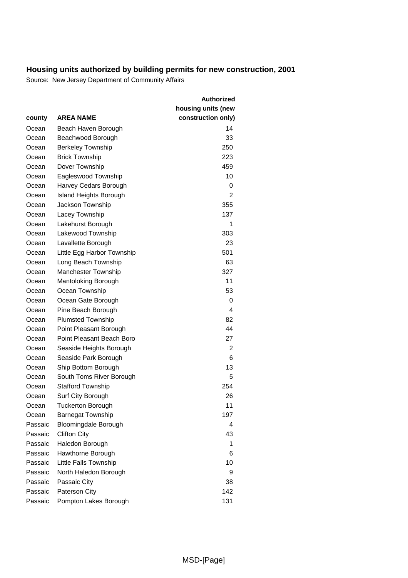|         |                                                   | <b>Authorized</b>                        |
|---------|---------------------------------------------------|------------------------------------------|
| county  | <b>AREA NAME</b>                                  | housing units (new<br>construction only) |
| Ocean   | Beach Haven Borough                               | 14                                       |
| Ocean   | Beachwood Borough                                 | 33                                       |
| Ocean   | <b>Berkeley Township</b>                          | 250                                      |
| Ocean   | <b>Brick Township</b>                             | 223                                      |
| Ocean   | Dover Township                                    | 459                                      |
| Ocean   | Eagleswood Township                               | 10                                       |
| Ocean   | Harvey Cedars Borough                             | 0                                        |
| Ocean   |                                                   | 2                                        |
| Ocean   | <b>Island Heights Borough</b><br>Jackson Township | 355                                      |
| Ocean   |                                                   | 137                                      |
| Ocean   | Lacey Township                                    | 1                                        |
|         | Lakehurst Borough                                 | 303                                      |
| Ocean   | Lakewood Township                                 | 23                                       |
| Ocean   | Lavallette Borough                                | 501                                      |
| Ocean   | Little Egg Harbor Township                        |                                          |
| Ocean   | Long Beach Township                               | 63                                       |
| Ocean   | Manchester Township                               | 327                                      |
| Ocean   | Mantoloking Borough                               | 11                                       |
| Ocean   | Ocean Township                                    | 53                                       |
| Ocean   | Ocean Gate Borough                                | 0                                        |
| Ocean   | Pine Beach Borough                                | 4                                        |
| Ocean   | <b>Plumsted Township</b>                          | 82                                       |
| Ocean   | Point Pleasant Borough                            | 44                                       |
| Ocean   | Point Pleasant Beach Boro                         | 27                                       |
| Ocean   | Seaside Heights Borough                           | 2                                        |
| Ocean   | Seaside Park Borough                              | 6                                        |
| Ocean   | Ship Bottom Borough                               | 13                                       |
| Ocean   | South Toms River Borough                          | 5                                        |
| Ocean   | <b>Stafford Township</b>                          | 254                                      |
| Ocean   | Surf City Borough                                 | 26                                       |
| Ocean   | <b>Tuckerton Borough</b>                          | 11                                       |
| Ocean   | <b>Barnegat Township</b>                          | 197                                      |
| Passaic | <b>Bloomingdale Borough</b>                       | 4                                        |
| Passaic | <b>Clifton City</b>                               | 43                                       |
| Passaic | Haledon Borough                                   | 1                                        |
| Passaic | Hawthorne Borough                                 | 6                                        |
| Passaic | Little Falls Township                             | 10                                       |
| Passaic | North Haledon Borough                             | 9                                        |
| Passaic | Passaic City                                      | 38                                       |
| Passaic | Paterson City                                     | 142                                      |
| Passaic | Pompton Lakes Borough                             | 131                                      |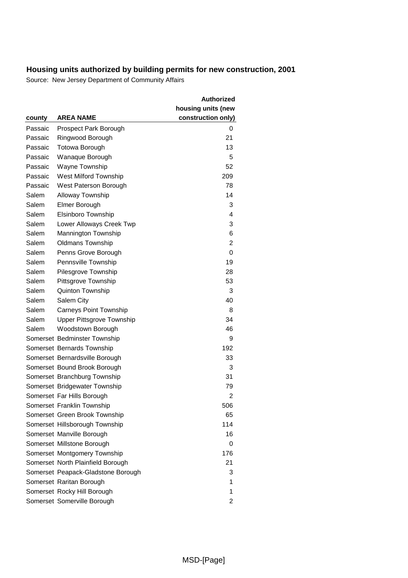|         |                                    | <b>Authorized</b>  |
|---------|------------------------------------|--------------------|
|         |                                    | housing units (new |
| county  | <b>AREA NAME</b>                   | construction only) |
| Passaic | Prospect Park Borough              | 0                  |
| Passaic | Ringwood Borough                   | 21                 |
| Passaic | Totowa Borough                     | 13                 |
| Passaic | Wanaque Borough                    | 5                  |
| Passaic | Wayne Township                     | 52                 |
| Passaic | West Milford Township              | 209                |
| Passaic | West Paterson Borough              | 78                 |
| Salem   | Alloway Township                   | 14                 |
| Salem   | Elmer Borough                      | 3                  |
| Salem   | Elsinboro Township                 | 4                  |
| Salem   | Lower Alloways Creek Twp           | 3                  |
| Salem   | Mannington Township                | 6                  |
| Salem   | <b>Oldmans Township</b>            | 2                  |
| Salem   | Penns Grove Borough                | 0                  |
| Salem   | Pennsville Township                | 19                 |
| Salem   | Pilesgrove Township                | 28                 |
| Salem   | Pittsgrove Township                | 53                 |
| Salem   | Quinton Township                   | 3                  |
| Salem   | Salem City                         | 40                 |
| Salem   | <b>Carneys Point Township</b>      | 8                  |
| Salem   | <b>Upper Pittsgrove Township</b>   | 34                 |
| Salem   | Woodstown Borough                  | 46                 |
|         | Somerset Bedminster Township       | 9                  |
|         | Somerset Bernards Township         | 192                |
|         | Somerset Bernardsville Borough     | 33                 |
|         | Somerset Bound Brook Borough       | 3                  |
|         | Somerset Branchburg Township       | 31                 |
|         | Somerset Bridgewater Township      | 79                 |
|         | Somerset Far Hills Borough         | 2                  |
|         | Somerset Franklin Township         | 506                |
|         | Somerset Green Brook Township      | 65                 |
|         | Somerset Hillsborough Township     | 114                |
|         | Somerset Manville Borough          | 16                 |
|         | Somerset Millstone Borough         | 0                  |
|         | Somerset Montgomery Township       | 176                |
|         | Somerset North Plainfield Borough  | 21                 |
|         | Somerset Peapack-Gladstone Borough | 3                  |
|         | Somerset Raritan Borough           | 1                  |
|         | Somerset Rocky Hill Borough        | 1                  |
|         | Somerset Somerville Borough        | 2                  |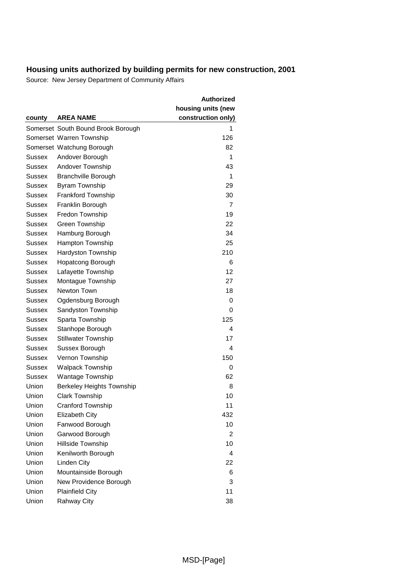|               |                                    | <b>Authorized</b>  |
|---------------|------------------------------------|--------------------|
|               | <b>AREA NAME</b>                   | housing units (new |
| county        |                                    | construction only) |
|               | Somerset South Bound Brook Borough | 1                  |
|               | Somerset Warren Township           | 126                |
|               | Somerset Watchung Borough          | 82                 |
| Sussex        | Andover Borough                    | 1                  |
| Sussex        | Andover Township                   | 43                 |
| Sussex        | <b>Branchville Borough</b>         | 1                  |
| Sussex        | <b>Byram Township</b>              | 29                 |
| Sussex        | Frankford Township                 | 30                 |
| Sussex        | Franklin Borough                   | 7                  |
| Sussex        | Fredon Township                    | 19                 |
| <b>Sussex</b> | Green Township                     | 22                 |
| Sussex        | Hamburg Borough                    | 34                 |
| Sussex        | Hampton Township                   | 25                 |
| Sussex        | Hardyston Township                 | 210                |
| Sussex        | Hopatcong Borough                  | 6                  |
| Sussex        | Lafayette Township                 | 12                 |
| Sussex        | Montague Township                  | 27                 |
| Sussex        | Newton Town                        | 18                 |
| Sussex        | Ogdensburg Borough                 | 0                  |
| Sussex        | Sandyston Township                 | 0                  |
| Sussex        | Sparta Township                    | 125                |
| Sussex        | Stanhope Borough                   | 4                  |
| Sussex        | <b>Stillwater Township</b>         | 17                 |
| Sussex        | Sussex Borough                     | 4                  |
| Sussex        | Vernon Township                    | 150                |
| Sussex        | <b>Walpack Township</b>            | 0                  |
| Sussex        | <b>Wantage Township</b>            | 62                 |
| Union         | <b>Berkeley Heights Township</b>   | 8                  |
| Union         | <b>Clark Township</b>              | 10                 |
| Union         | Cranford Township                  | 11                 |
| Union         | <b>Elizabeth City</b>              | 432                |
| Union         | Fanwood Borough                    | 10                 |
| Union         | Garwood Borough                    | $\overline{2}$     |
| Union         | Hillside Township                  | 10                 |
| Union         | Kenilworth Borough                 | 4                  |
| Union         | Linden City                        | 22                 |
| Union         | Mountainside Borough               | 6                  |
| Union         | New Providence Borough             | 3                  |
| Union         | <b>Plainfield City</b>             | 11                 |
| Union         | <b>Rahway City</b>                 | 38                 |